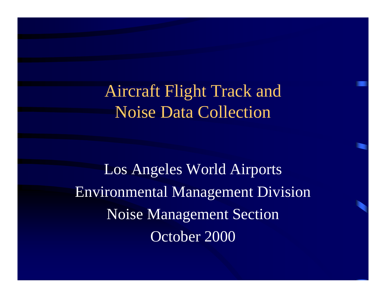Aircraft Flight Track and Noise Data Collection

Los Angeles World Airports Environmental Management Division Noise Management Section October 2000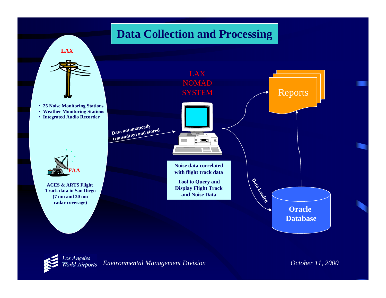#### **Data Collection and Processing**

**LAX**



- **25 Noise Monitoring Stations**
- **Weather Monitoring Stations**
- **Integrated Audio Recorder**



**ACES & ARTS Flight Track data in San Diego (7 nm and 30 nm radar coverage)**



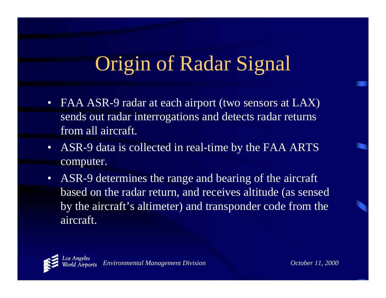## Origin of Radar Signal

- FAA ASR-9 radar at each airport (two sensors at LAX) sends out radar interrogations and detects radar returns from all aircraft.
- ASR-9 data is collected in real-time by the FAA ARTS computer.
- • ASR-9 determines the range and bearing of the aircraft based on the radar return, and receives altitude (as sensed by the aircraft's altimeter) and transponder code from the aircraft.

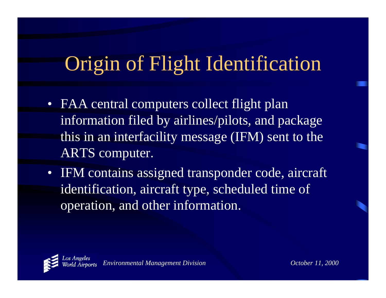## Origin of Flight Identification

- FAA central computers collect flight plan information filed by airlines/pilots, and package this in an interfacility message (IFM) sent to the ARTS computer.
- IFM contains assigned transponder code, aircraft identification, aircraft type, scheduled time of operation, and other information.

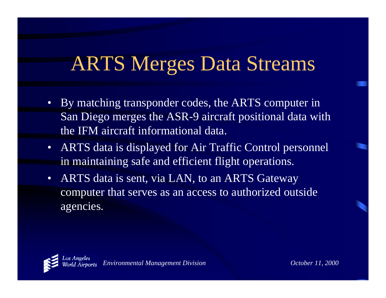#### ARTS Merges Data Streams

- By matching transponder codes, the ARTS computer in San Diego merges the ASR-9 aircraft positional data with the IFM aircraft informational data.
- ARTS data is displayed for Air Traffic Control personnel in maintaining safe and efficient flight operations.
- • ARTS data is sent, via LAN, to an ARTS Gateway computer that serves as an access to authorized outside agencies.

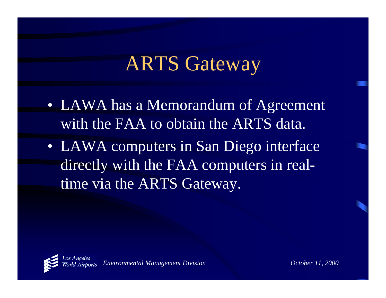#### ARTS Gateway

- LAWA has a Memorandum of Agreement with the FAA to obtain the ARTS data.
- LAWA computers in San Diego interface directly with the FAA computers in realtime via the ARTS Gateway.

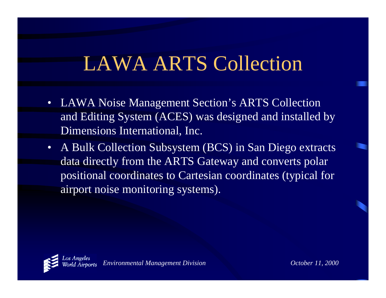#### LAWA ARTS Collection

- LAWA Noise Management Section's ARTS Collection and Editing System (ACES) was designed and installed by Dimensions International, Inc.
- A Bulk Collection Subsystem (BCS) in San Diego extracts data directly from the ARTS Gateway and converts polar positional coordinates to Cartesian coordinates (typical for airport noise monitoring systems).

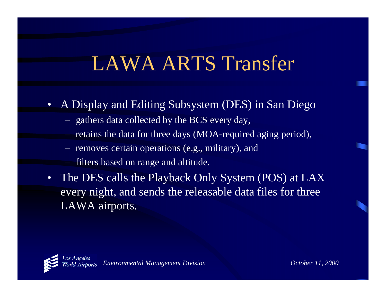### LAWA ARTS Transfer

- A Display and Editing Subsystem (DES) in San Diego
	- gathers data collected by the BCS every day,
	- retains the data for three days (MOA-required aging period),
	- removes certain operations (e.g., military), and
	- filters based on range and altitude.
- • The DES calls the Playback Only System (POS) at LAX every night, and sends the releasable data files for three LAWA airports.

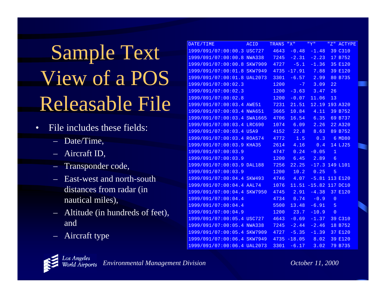# Sample Text View of a POS Releasable File

- • File includes these fields:
	- –Date/Time,
	- Aircraft ID,
	- Transponder code,
	- East-west and north-south distances from radar (in nautical miles),
	- Altitude (in hundreds of feet), and
	- Aircraft type

| DATE/TIME                   | <b>ACID</b>    | <b>TRANS</b> | "X"                 | "Y"             | " $Z$ "         | <b>ACTYPE</b> |
|-----------------------------|----------------|--------------|---------------------|-----------------|-----------------|---------------|
| 1999/091/07:00:00.3 USC727  |                | 4643         | $-0.48$             | $-1.48$         |                 | 39 C310       |
| 1999/091/07:00:00.8 NWA338  |                |              | $7245 - 2.31$       | $-2.23$         |                 | 17 B752       |
| 1999/091/07:00:00.8         | <b>SKW7909</b> | 4727         | $-5.1$              | $-1.36$         |                 | 35 E120       |
| 1999/091/07:00:01.8         | <b>SKW7949</b> | 4735         | $-17.91$            | 7.88            |                 | 39 E120       |
| 1999/091/07:00:01.8 UAL2073 |                | 3301         | $-6.57$             | 2.99            |                 | 80 B735       |
| 1999/091/07:00:02.3         |                | 1200         | $-7$                | 3.09            | 22              |               |
| 1999/091/07:00:02.3         |                | 1200         | $-3.63$             | 3.47            | 26              |               |
| 1999/091/07:00:02.8         |                | 1200         | $-0.07$             | 11.06           | 13              |               |
| 1999/091/07:00:03.4 AWE51   |                | 7231         | 21.51               | 12.19           |                 | 193 A320      |
| 1999/091/07:00:03.4 NWA651  |                | 3665         | 10.84               | 4.11            |                 | 39 B752       |
| 1999/091/07:00:03.4 SWA1665 |                | 4706         | 16.54               | 6.35            |                 | 69 B737       |
| 1999/091/07:00:03.4 LRC690  |                | 1074         | 6.09                | 2.26            |                 | 22 A320       |
| 1999/091/07:00:03.4 USA9    |                | 4152         | 22.8                | 8.63            |                 | 89 B752       |
| 1999/091/07:00:03.4 ROA574  |                | 4772         | 1.5                 | 0.3             |                 | 6 MD80        |
| 1999/091/07:00:03.9 KHA35   |                | 2614         | 4.16                | 0.4             |                 | 14 LJ25       |
| 1999/091/07:00:03.9         |                | 4747         | 0.24                | $-0.05$         | $\mathbf{1}$    |               |
| 1999/091/07:00:03.9         |                | 1200         | 6.45                | 2.89            | $6\overline{6}$ |               |
| 1999/091/07:00:03.9 DAL188  |                | 7256         | 22.25               | $-17.3$         |                 | 149 L101      |
| 1999/091/07:00:03.9         |                | 1200         | 10.2                | 0.25            | $\overline{5}$  |               |
| 1999/091/07:00:04.4 SKW493  |                | 4746         | 4.07                | $-5.81$         |                 | 113 E120      |
| 1999/091/07:00:04.4 AAL74   |                | 1076         |                     | $11.51 - 15.82$ |                 | 117 DC10      |
| 1999/091/07:00:04.4 SKW7950 |                | 4745         | 2.91                | $-4.38$         |                 | 37 E120       |
| 1999/091/07:00:04.4         |                | 4734         |                     | $0.74 - 0.9$    | $\overline{0}$  |               |
| 1999/091/07:00:04.4         |                | 5500         | 13.48               | $-6.91$         | 5               |               |
| 1999/091/07:00:04.9         |                | 1200         | 23.7                | $-10.9$         | $\overline{0}$  |               |
| 1999/091/07:00:05.4 USC727  |                | 4643         | $-0.69$             | $-1.37$         |                 | 39 C310       |
| 1999/091/07:00:05.4 NWA338  |                | 7245         | $-2.44$             | $-2.46$         |                 | 18 B752       |
| 1999/091/07:00:05.4 SKW7909 |                | 4727         | $-5.35$             | $-1.39$         |                 | 37 E120       |
| 1999/091/07:00:06.4 SKW7949 |                |              | $4735 - 18.05$ 8.02 |                 |                 | 39 E120       |
| 1999/091/07:00:06.4 UAL2073 |                | 3301         | $-6.17$             | 3.02            |                 | 79 B735       |

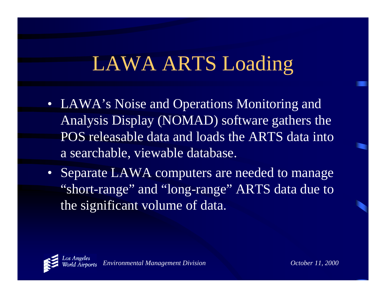## LAWA ARTS Loading

- LAWA's Noise and Operations Monitoring and Analysis Display (NOMAD) software gathers the POS releasable data and loads the ARTS data into a searchable, viewable database.
- Separate LAWA computers are needed to manage "short-range" and "long-range" ARTS data due to the significant volume of data.

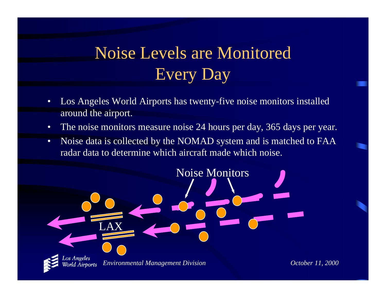#### Noise Levels are MonitoredEvery Day

- • Los Angeles World Airports has twenty-five noise monitors installed around the airport.
- •The noise monitors measure noise 24 hours per day, 365 days per year.
- • Noise data is collected by the NOMAD system and is matched to FAA radar data to determine which aircraft made which noise.

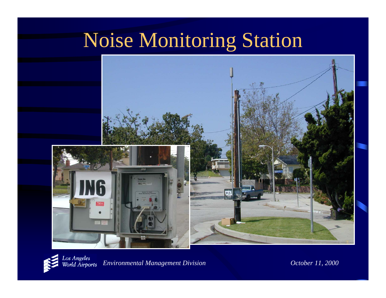## Noise Monitoring Station



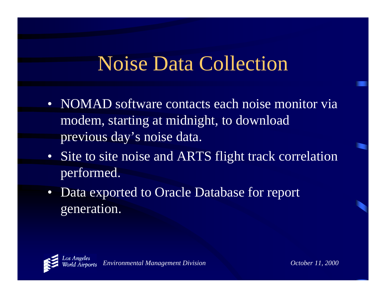#### Noise Data Collection

- NOMAD software contacts each noise monitor via modem, starting at midnight, to download previous day's noise data.
- Site to site noise and ARTS flight track correlation performed.
- $\bullet$  Data exported to Oracle Database for report generation.

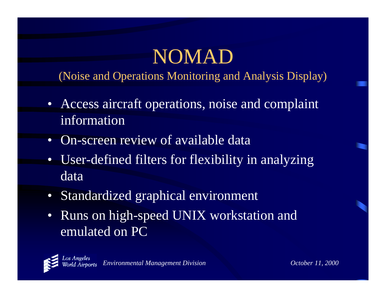## NOMAD

(Noise and Operations Monitoring and Analysis Display)

- Access aircraft operations, noise and complaint information
- •On-screen review of available data
- $\bullet$  User-defined filters for flexibility in analyzing data
- Standardized graphical environment
- • Runs on high-speed UNIX workstation and emulated on PC

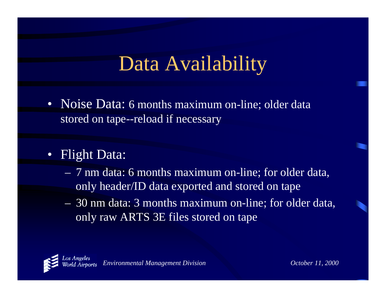## Data Availability

- Noise Data: 6 months maximum on-line; older data stored on tape--reload if necessary
- •**Flight Data:** 
	- 7 nm data: 6 months maximum on-line; for older data, only header/ID data exported and stored on tape
	- 30 nm data: 3 months maximum on-line; for older data, only raw ARTS 3E files stored on tape

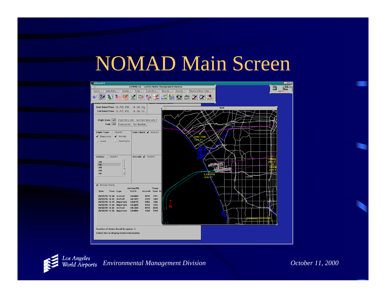#### NOMAD Main Screen



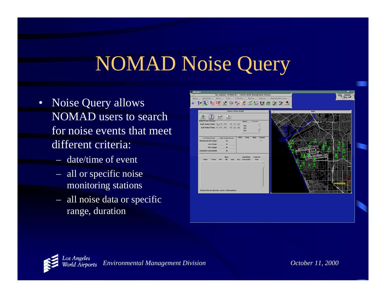## NOMAD Noise Query

- Noise Query allows NOMAD users to search for noise events that meet different criteria:
	- date/time of event
	- all or specific noise monitoring stations
	- all noise data or specific range, duration



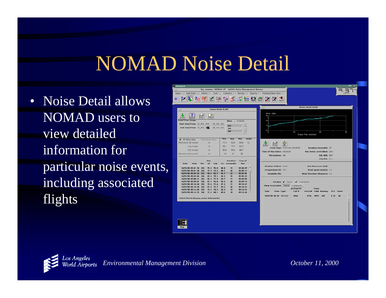#### NOMAD Noise Detail

• Noise Detail allows NOMAD users to view detailed information for particular noise events, including associated flights



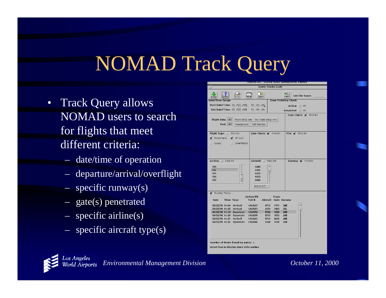## NOMAD Track Query

- Track Query allows NOMAD users to search for flights that meet different criteria:
	- date/time of operation
	- departure/arrival/overflight
	- specific runway(s)
	- gate(s) penetrated
	- specific airline(s)
	- specific aircraft type(s)

| ŋ                                                                                                                                                                                                                                                                                         | ANWWS 4.5 LADOA NUISE Management Bureau                                                                                                                                   |
|-------------------------------------------------------------------------------------------------------------------------------------------------------------------------------------------------------------------------------------------------------------------------------------------|---------------------------------------------------------------------------------------------------------------------------------------------------------------------------|
| $ \nabla $                                                                                                                                                                                                                                                                                | <b>Query Tracks (LAX)</b>                                                                                                                                                 |
| JL,<br>$\Rightarrow$<br>Print<br>Export<br>Done<br>Merge                                                                                                                                                                                                                                  | $\bullet$ GIS<br><b>GIS File Name:</b><br>Export                                                                                                                          |
| Date/Time Range:                                                                                                                                                                                                                                                                          | <b>Zone Violation Check</b>                                                                                                                                               |
| <b>Start Date/Time: 03 /25 /99</b><br>14:00:00                                                                                                                                                                                                                                            | Action: $\nabla$<br>All                                                                                                                                                   |
| End Date/Time: 03 /25 /99<br>14:30:00                                                                                                                                                                                                                                                     | <b>Response:</b> $\nabla$ All                                                                                                                                             |
| Flight Data:<br>Flight Strip Info<br>All<br>All<br>Find:<br>Transponder<br>Tail Number                                                                                                                                                                                                    | Zone Check: $\blacklozenge$ Find All<br>No Flight Strip Info                                                                                                              |
| Flight Type:   Find All                                                                                                                                                                                                                                                                   | Gate Check: Y Find All<br>$PCA:$ $\checkmark$ Find All                                                                                                                    |
| ◀<br>Departures<br>$\blacktriangleleft$ Arrivals                                                                                                                                                                                                                                          |                                                                                                                                                                           |
| Locals<br>$\Box$ Overflights                                                                                                                                                                                                                                                              |                                                                                                                                                                           |
| Airline:   Find All<br>Aircraft:                                                                                                                                                                                                                                                          | Find All<br>Runway: $\blacklozenge$ Find All                                                                                                                              |
| <b>TWA</b><br>A300<br><b>UAL</b><br>A306<br><b>UPS</b><br>A310<br>$\blacktriangle$<br><b>USA</b><br>A319<br>A320<br><b>USC</b><br>$\overline{\phantom{0}}$<br>Select A/C $\tau$ )                                                                                                         |                                                                                                                                                                           |
| ◆ Display Tracks                                                                                                                                                                                                                                                                          | <b>Trans</b>                                                                                                                                                              |
| Airline/Flt<br>Tail#<br>Date<br>Time Type                                                                                                                                                                                                                                                 | Aircraft Code Runway                                                                                                                                                      |
| 03/25/99 14:04<br>Arrival<br><b>UAL2605</b><br>03/25/99 14:05<br>Arrival<br><b>UAL1673</b><br>03/25/99 14:10 Departure<br><b>UAL8172</b><br>03/25/99 14:20<br>Departure<br><b>UAL2678</b><br>03/25/99 14:21<br>Arrival<br><b>UAL1263</b><br>03/25/99 14:26<br>Departure<br><b>UAL8046</b> | <b>B735</b><br>1511<br>24R<br>25L<br>A319<br>1403<br><b>B762</b><br>1026<br><b>25R</b><br>1055<br>25R<br>R733<br><b>B733</b><br>6656<br><b>24R</b><br>A320<br>7210<br>25R |
| Number of items found by query: 6<br>Select line to display track information                                                                                                                                                                                                             |                                                                                                                                                                           |

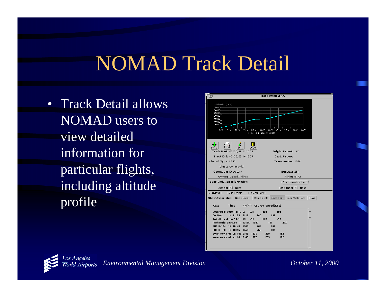#### NOMAD Track Detail

• Track Detail allows NOMAD users to view detailed information for particular flights, including altitude profile



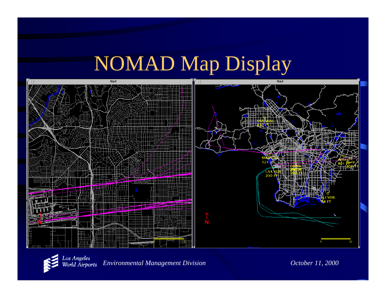#### NOMAD Map Display



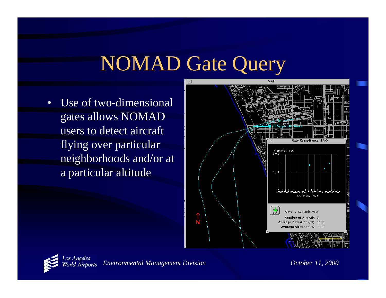#### NOMAD Gate Query

• Use of two-dimensional gates allows NOMAD users to detect aircraft flying over particular neighborhoods and/or at a particular altitude



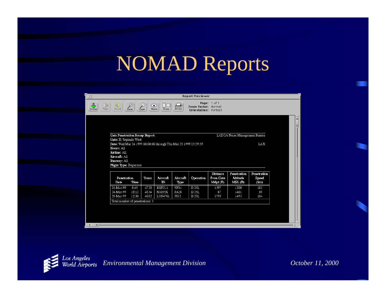#### NOMAD Reports

| $\vert \nabla \vert$                                   |                                                                 |              |                   |                     | <b>Report Previewer</b>                      |              |                               |             |  |
|--------------------------------------------------------|-----------------------------------------------------------------|--------------|-------------------|---------------------|----------------------------------------------|--------------|-------------------------------|-------------|--|
| $\frac{1}{2}$<br>$\Rightarrow$<br>Next<br>Prey<br>Done | Θ<br>Zoom                                                       | (-)<br>Zoom. | ⊙<br>View<br>Norm | 一切<br>Print         | Zoom Factor: Normal<br>Orientation: Portrait | Page: 1 of 1 |                               |             |  |
|                                                        |                                                                 |              |                   |                     |                                              |              |                               |             |  |
|                                                        | <b>Gate Penetration Recap Report</b>                            |              |                   |                     |                                              |              | LADOA Noise Management Bureau |             |  |
|                                                        | Gate: El Segundo West                                           |              |                   |                     |                                              |              |                               |             |  |
| Hours: All                                             | Date: Wed Mar 24 1999 00:00:00 through Thu Mar 25 1999 23:59:59 |              |                   |                     |                                              |              |                               | LAX         |  |
| Airline: All                                           |                                                                 |              |                   |                     |                                              |              |                               |             |  |
|                                                        |                                                                 |              |                   |                     |                                              |              |                               |             |  |
| Aircraft: All                                          |                                                                 |              |                   |                     |                                              |              |                               |             |  |
| Runway: All                                            |                                                                 |              |                   |                     |                                              |              |                               |             |  |
|                                                        | <b>Flight Type: Departure</b>                                   |              |                   |                     |                                              |              |                               |             |  |
|                                                        |                                                                 |              |                   |                     |                                              | Distance     | Penetration                   | Penetration |  |
|                                                        | Penetration                                                     | Trans        | Aircraft          | Aircraft            | Operation                                    | from Gate    | Altitude                      | Speed       |  |
| Date                                                   | Time                                                            |              | Đ                 | Type                |                                              | Mdpt (ft)    | MSL(f)                        | (kts)       |  |
| 24-Маг-99                                              | 6:45                                                            | 4720         | EGF211            | SF34                | D 25L                                        | 1397         | 1200                          | 183         |  |
| 24-Mar-99<br>25-Mar-99                                 | 16:12<br>12:30                                                  | 4634<br>4602 | N1035X<br>LOF4781 | PA28<br><b>JS32</b> | D 25L<br>D 25L                               | 87<br>1795   | 1401<br>1493                  | 89<br>184   |  |
|                                                        | Total number of penetrations: 3                                 |              |                   |                     |                                              |              |                               |             |  |
|                                                        |                                                                 |              |                   |                     |                                              |              |                               |             |  |
|                                                        |                                                                 |              |                   |                     |                                              |              |                               |             |  |
|                                                        |                                                                 |              |                   |                     |                                              |              |                               |             |  |

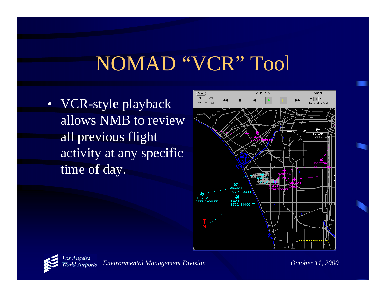### NOMAD "VCR" Tool

• VCR-style playback allows NMB to review all previous flight activity at any specific time of day.



![](_page_23_Picture_3.jpeg)